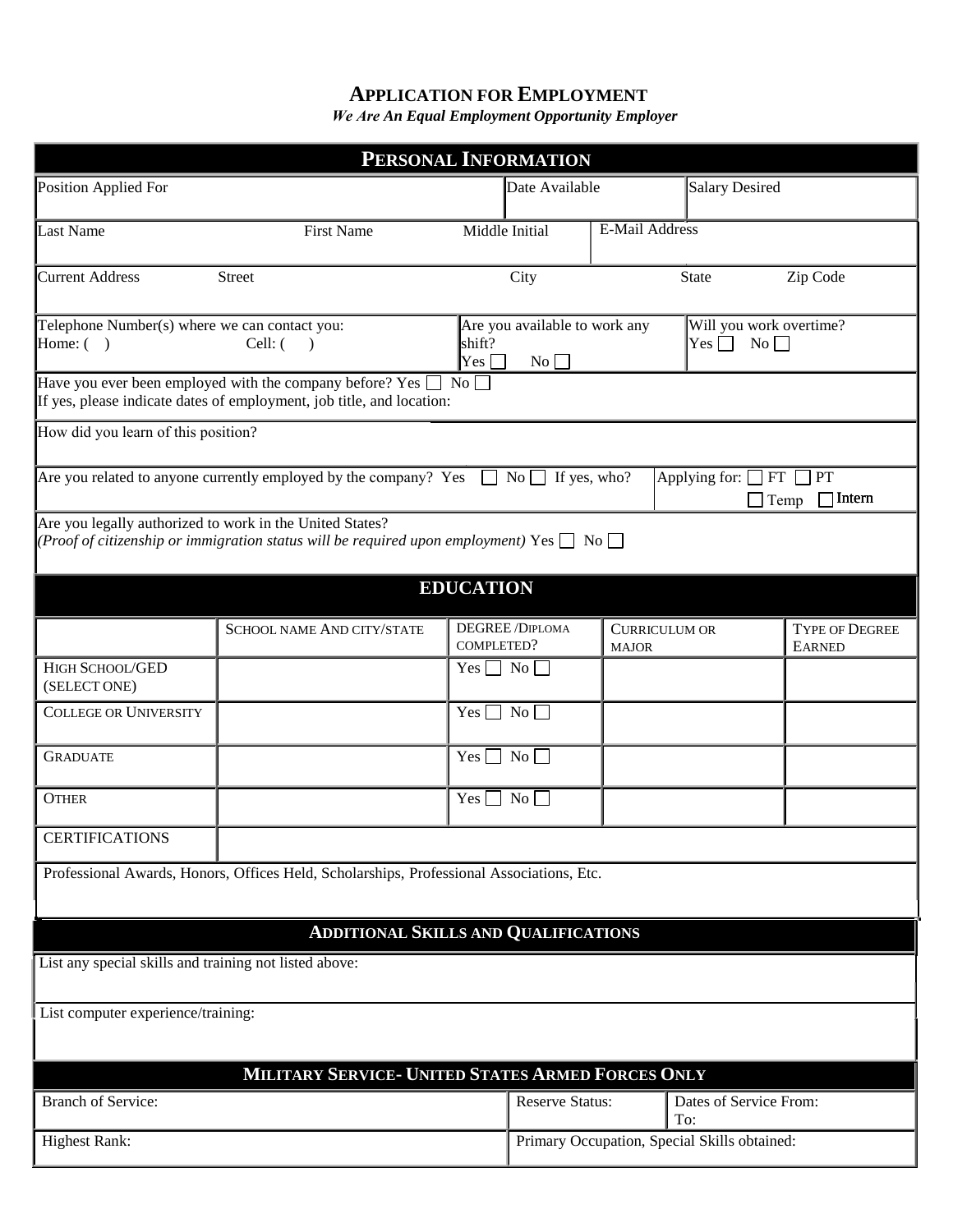## **APPLICATION FOR EMPLOYMENT**

*We Are An Equal Employment Opportunity Employer*

| PERSONAL INFORMATION                                                                                                                                                              |                                   |                      |                                              |                                      |                                             |                                        |  |  |
|-----------------------------------------------------------------------------------------------------------------------------------------------------------------------------------|-----------------------------------|----------------------|----------------------------------------------|--------------------------------------|---------------------------------------------|----------------------------------------|--|--|
| Position Applied For                                                                                                                                                              |                                   |                      | Date Available                               |                                      | <b>Salary Desired</b>                       |                                        |  |  |
| Last Name                                                                                                                                                                         | <b>First Name</b>                 |                      | Middle Initial                               | E-Mail Address                       |                                             |                                        |  |  |
| Current Address                                                                                                                                                                   | <b>Street</b>                     |                      | City                                         |                                      | <b>State</b>                                | Zip Code                               |  |  |
| Telephone Number(s) where we can contact you:<br>Home: $( )$                                                                                                                      | Cell: ( )                         | shift?<br>$Yes \Box$ | Are you available to work any<br>No          |                                      | Will you work overtime?<br>$Yes \Box$<br>No |                                        |  |  |
| Have you ever been employed with the company before? Yes<br>$\Box$ No $\Box$<br>If yes, please indicate dates of employment, job title, and location:                             |                                   |                      |                                              |                                      |                                             |                                        |  |  |
| How did you learn of this position?                                                                                                                                               |                                   |                      |                                              |                                      |                                             |                                        |  |  |
| Are you related to anyone currently employed by the company? Yes $\Box$<br>$\mathbb{N}^{\circ}$ If yes, who?<br>Applying for: $\Box$ FT $\Box$ PT<br>$\Box$ Temp<br>$\Box$ Intern |                                   |                      |                                              |                                      |                                             |                                        |  |  |
| Are you legally authorized to work in the United States?<br>(Proof of citizenship or immigration status will be required upon employment) Yes $\Box$ No $\Box$                    |                                   |                      |                                              |                                      |                                             |                                        |  |  |
|                                                                                                                                                                                   |                                   | <b>EDUCATION</b>     |                                              |                                      |                                             |                                        |  |  |
|                                                                                                                                                                                   | <b>SCHOOL NAME AND CITY/STATE</b> | COMPLETED?           | DEGREE/DIPLOMA                               | <b>CURRICULUM OR</b><br><b>MAJOR</b> |                                             | <b>TYPE OF DEGREE</b><br><b>EARNED</b> |  |  |
| HIGH SCHOOL/GED<br>(SELECT ONE)                                                                                                                                                   |                                   | Yes $\Box$ No $\Box$ |                                              |                                      |                                             |                                        |  |  |
| <b>COLLEGE OR UNIVERSITY</b>                                                                                                                                                      |                                   | Yes $\Box$ No $\Box$ |                                              |                                      |                                             |                                        |  |  |
| <b>GRADUATE</b>                                                                                                                                                                   |                                   | $Yes$                | $\overline{N_0}$                             |                                      |                                             |                                        |  |  |
| <b>OTHER</b>                                                                                                                                                                      |                                   | $Yes \bigsqcup$      | $\overline{N_{0}}$                           |                                      |                                             |                                        |  |  |
| <b>CERTIFICATIONS</b>                                                                                                                                                             |                                   |                      |                                              |                                      |                                             |                                        |  |  |
| Professional Awards, Honors, Offices Held, Scholarships, Professional Associations, Etc.                                                                                          |                                   |                      |                                              |                                      |                                             |                                        |  |  |
| <b>ADDITIONAL SKILLS AND QUALIFICATIONS</b>                                                                                                                                       |                                   |                      |                                              |                                      |                                             |                                        |  |  |
| List any special skills and training not listed above:                                                                                                                            |                                   |                      |                                              |                                      |                                             |                                        |  |  |
| List computer experience/training:                                                                                                                                                |                                   |                      |                                              |                                      |                                             |                                        |  |  |
|                                                                                                                                                                                   |                                   |                      |                                              |                                      |                                             |                                        |  |  |
| MILITARY SERVICE- UNITED STATES ARMED FORCES ONLY                                                                                                                                 |                                   |                      |                                              |                                      |                                             |                                        |  |  |
| <b>Branch of Service:</b>                                                                                                                                                         |                                   |                      | <b>Reserve Status:</b>                       | Dates of Service From:<br>To:        |                                             |                                        |  |  |
| <b>Highest Rank:</b>                                                                                                                                                              |                                   |                      | Primary Occupation, Special Skills obtained: |                                      |                                             |                                        |  |  |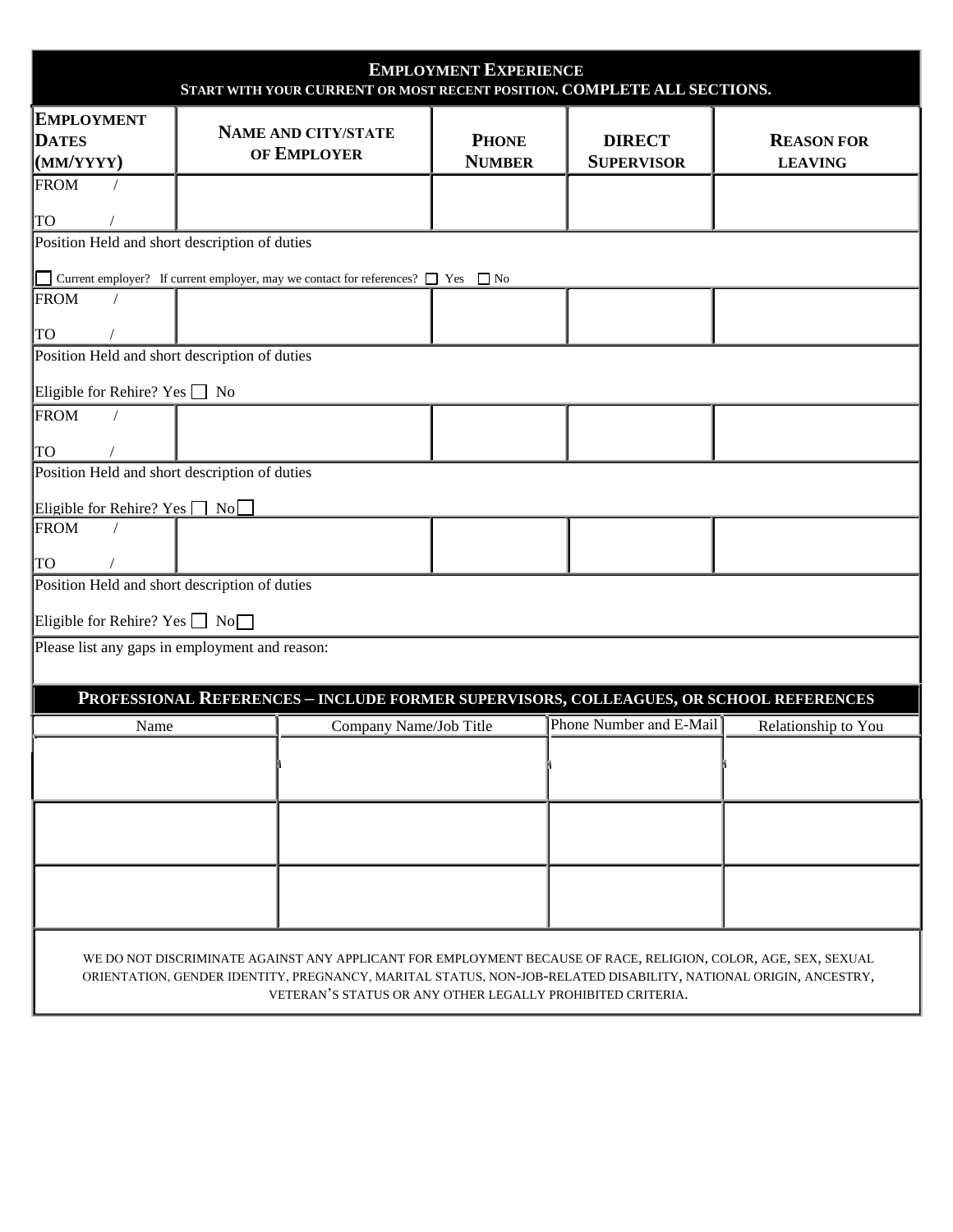| <b>EMPLOYMENT EXPERIENCE</b><br>START WITH YOUR CURRENT OR MOST RECENT POSITION. COMPLETE ALL SECTIONS.                                                                                                                                                                                         |                                           |                               |                                    |                                     |  |  |  |  |  |
|-------------------------------------------------------------------------------------------------------------------------------------------------------------------------------------------------------------------------------------------------------------------------------------------------|-------------------------------------------|-------------------------------|------------------------------------|-------------------------------------|--|--|--|--|--|
| <b>EMPLOYMENT</b><br><b>DATES</b><br>(MM/YYYY)<br><b>FROM</b>                                                                                                                                                                                                                                   | <b>NAME AND CITY/STATE</b><br>OF EMPLOYER | <b>PHONE</b><br><b>NUMBER</b> | <b>DIRECT</b><br><b>SUPERVISOR</b> | <b>REASON FOR</b><br><b>LEAVING</b> |  |  |  |  |  |
| <b>TO</b><br>Position Held and short description of duties                                                                                                                                                                                                                                      |                                           |                               |                                    |                                     |  |  |  |  |  |
| Current employer? If current employer, may we contact for references? $\Box$ Yes $\Box$ No<br><b>Talling</b>                                                                                                                                                                                    |                                           |                               |                                    |                                     |  |  |  |  |  |
| <b>FROM</b><br><b>TO</b>                                                                                                                                                                                                                                                                        |                                           |                               |                                    |                                     |  |  |  |  |  |
| Position Held and short description of duties                                                                                                                                                                                                                                                   |                                           |                               |                                    |                                     |  |  |  |  |  |
| Eligible for Rehire? Yes No<br><b>FROM</b>                                                                                                                                                                                                                                                      |                                           |                               |                                    |                                     |  |  |  |  |  |
| <b>TO</b><br>Position Held and short description of duties                                                                                                                                                                                                                                      |                                           |                               |                                    |                                     |  |  |  |  |  |
| Eligible for Rehire? Yes $\Box$ No                                                                                                                                                                                                                                                              |                                           |                               |                                    |                                     |  |  |  |  |  |
| <b>FROM</b><br><b>TO</b>                                                                                                                                                                                                                                                                        |                                           |                               |                                    |                                     |  |  |  |  |  |
| Position Held and short description of duties                                                                                                                                                                                                                                                   |                                           |                               |                                    |                                     |  |  |  |  |  |
| Eligible for Rehire? Yes $\Box$ No $\Box$<br>Please list any gaps in employment and reason:                                                                                                                                                                                                     |                                           |                               |                                    |                                     |  |  |  |  |  |
| PROFESSIONAL REFERENCES - INCLUDE FORMER SUPERVISORS, COLLEAGUES, OR SCHOOL REFERENCES                                                                                                                                                                                                          |                                           |                               |                                    |                                     |  |  |  |  |  |
| Name                                                                                                                                                                                                                                                                                            | Company Name/Job Title                    |                               | Phone Number and E-Mail            | Relationship to You                 |  |  |  |  |  |
|                                                                                                                                                                                                                                                                                                 |                                           |                               |                                    |                                     |  |  |  |  |  |
|                                                                                                                                                                                                                                                                                                 |                                           |                               |                                    |                                     |  |  |  |  |  |
|                                                                                                                                                                                                                                                                                                 |                                           |                               |                                    |                                     |  |  |  |  |  |
|                                                                                                                                                                                                                                                                                                 |                                           |                               |                                    |                                     |  |  |  |  |  |
| WE DO NOT DISCRIMINATE AGAINST ANY APPLICANT FOR EMPLOYMENT BECAUSE OF RACE, RELIGION, COLOR, AGE, SEX, SEXUAL<br>ORIENTATION, GENDER IDENTITY, PREGNANCY, MARITAL STATUS, NON-JOB-RELATED DISABILITY, NATIONAL ORIGIN, ANCESTRY,<br>VETERAN'S STATUS OR ANY OTHER LEGALLY PROHIBITED CRITERIA. |                                           |                               |                                    |                                     |  |  |  |  |  |